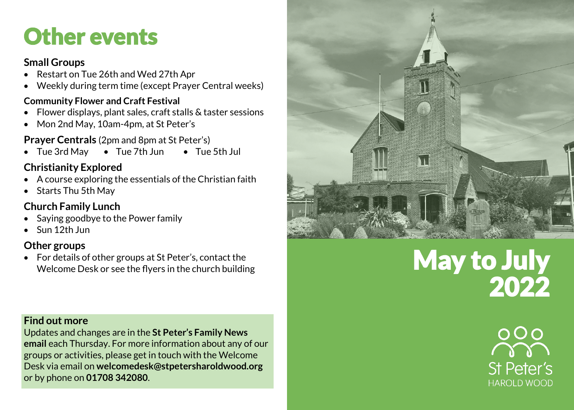# Other events

#### **Small Groups**

- Restart on Tue 26th and Wed 27th Apr
- Weekly during term time (except Prayer Central weeks)

### **Community Flower and Craft Festival**

- Flower displays, plant sales, craft stalls & taster sessions
- Mon 2nd May, 10am-4pm, at St Peter's

**Prayer Centrals** (2pm and 8pm at St Peter's)

• Tue 3rd May • Tue 7th Jun • Tue 5th Jul

# **Christianity Explored**

- A course exploring the essentials of the Christian faith
- Starts Thu 5th May

# **Church Family Lunch**

- Saying goodbye to the Power family
- Sun 12th Jun

## **Other groups**

• For details of other groups at St Peter's, contact the Welcome Desk or see the flyers in the church building

#### **Find out more**

Updates and changes are in the **St Peter's Family News email** each Thursday. For more information about any of our groups or activities, please get in touch with the Welcome Desk via email on **welcomedesk@stpetersharoldwood.org**  or by phone on **01708 342080**.



# May to July 2022